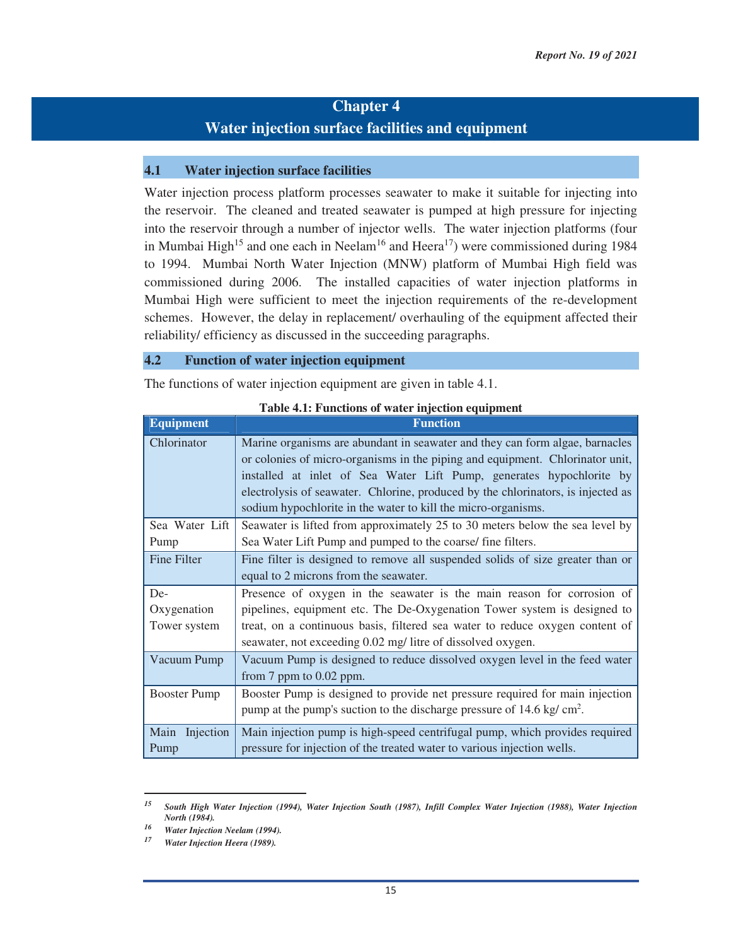# **Chapter 4 Water injection surface facilities and equipment**

#### **4.1 Water injection surface facilities**

Water injection process platform processes seawater to make it suitable for injecting into the reservoir. The cleaned and treated seawater is pumped at high pressure for injecting into the reservoir through a number of injector wells. The water injection platforms (four in Mumbai High<sup>15</sup> and one each in Neelam<sup>16</sup> and Heera<sup>17</sup>) were commissioned during 1984 to 1994. Mumbai North Water Injection (MNW) platform of Mumbai High field was commissioned during 2006. The installed capacities of water injection platforms in Mumbai High were sufficient to meet the injection requirements of the re-development schemes. However, the delay in replacement/ overhauling of the equipment affected their reliability/ efficiency as discussed in the succeeding paragraphs.

#### **4.2 Function of water injection equipment**

The functions of water injection equipment are given in table 4.1.

| <b>Equipment</b>    | <b>Function</b>                                                                                                                                                                                                                                                                                                                                                                            |  |  |  |  |
|---------------------|--------------------------------------------------------------------------------------------------------------------------------------------------------------------------------------------------------------------------------------------------------------------------------------------------------------------------------------------------------------------------------------------|--|--|--|--|
| Chlorinator         | Marine organisms are abundant in seawater and they can form algae, barnacles<br>or colonies of micro-organisms in the piping and equipment. Chlorinator unit,<br>installed at inlet of Sea Water Lift Pump, generates hypochlorite by<br>electrolysis of seawater. Chlorine, produced by the chlorinators, is injected as<br>sodium hypochlorite in the water to kill the micro-organisms. |  |  |  |  |
| Sea Water Lift      | Seawater is lifted from approximately 25 to 30 meters below the sea level by                                                                                                                                                                                                                                                                                                               |  |  |  |  |
| Pump                | Sea Water Lift Pump and pumped to the coarse/ fine filters.                                                                                                                                                                                                                                                                                                                                |  |  |  |  |
| Fine Filter         | Fine filter is designed to remove all suspended solids of size greater than or                                                                                                                                                                                                                                                                                                             |  |  |  |  |
|                     | equal to 2 microns from the seawater.                                                                                                                                                                                                                                                                                                                                                      |  |  |  |  |
| De-                 | Presence of oxygen in the seawater is the main reason for corrosion of                                                                                                                                                                                                                                                                                                                     |  |  |  |  |
| Oxygenation         | pipelines, equipment etc. The De-Oxygenation Tower system is designed to                                                                                                                                                                                                                                                                                                                   |  |  |  |  |
| Tower system        | treat, on a continuous basis, filtered sea water to reduce oxygen content of                                                                                                                                                                                                                                                                                                               |  |  |  |  |
|                     | seawater, not exceeding 0.02 mg/ litre of dissolved oxygen.                                                                                                                                                                                                                                                                                                                                |  |  |  |  |
| Vacuum Pump         | Vacuum Pump is designed to reduce dissolved oxygen level in the feed water<br>from $7$ ppm to $0.02$ ppm.                                                                                                                                                                                                                                                                                  |  |  |  |  |
| <b>Booster Pump</b> | Booster Pump is designed to provide net pressure required for main injection                                                                                                                                                                                                                                                                                                               |  |  |  |  |
|                     | pump at the pump's suction to the discharge pressure of $14.6 \text{ kg/cm}^2$ .                                                                                                                                                                                                                                                                                                           |  |  |  |  |
| Main Injection      | Main injection pump is high-speed centrifugal pump, which provides required                                                                                                                                                                                                                                                                                                                |  |  |  |  |
| Pump                | pressure for injection of the treated water to various injection wells.                                                                                                                                                                                                                                                                                                                    |  |  |  |  |

#### **Table 4.1: Functions of water injection equipment**

*<sup>15</sup> South High Water Injection (1994), Water Injection South (1987), Infill Complex Water Injection (1988), Water Injection North (1984). 16 Water Injection Neelam (1994). 17 Water Injection Heera (1989).*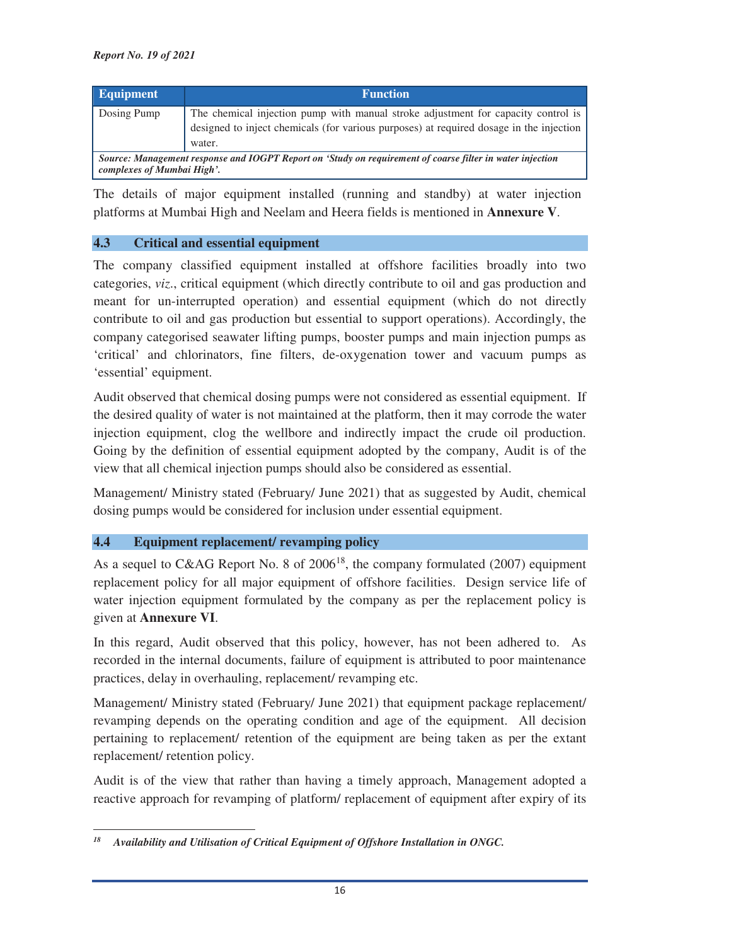| <b>Equipment</b>                                                                                                                        | <b>Function</b>                                                                                                                                                                        |  |  |  |
|-----------------------------------------------------------------------------------------------------------------------------------------|----------------------------------------------------------------------------------------------------------------------------------------------------------------------------------------|--|--|--|
| Dosing Pump                                                                                                                             | The chemical injection pump with manual stroke adjustment for capacity control is<br>designed to inject chemicals (for various purposes) at required dosage in the injection<br>water. |  |  |  |
| Source: Management response and IOGPT Report on 'Study on requirement of coarse filter in water injection<br>complexes of Mumbai High'. |                                                                                                                                                                                        |  |  |  |

The details of major equipment installed (running and standby) at water injection platforms at Mumbai High and Neelam and Heera fields is mentioned in **Annexure V**.

### **4.3 Critical and essential equipment**

The company classified equipment installed at offshore facilities broadly into two categories, *viz*., critical equipment (which directly contribute to oil and gas production and meant for un-interrupted operation) and essential equipment (which do not directly contribute to oil and gas production but essential to support operations). Accordingly, the company categorised seawater lifting pumps, booster pumps and main injection pumps as 'critical' and chlorinators, fine filters, de-oxygenation tower and vacuum pumps as 'essential' equipment.

Audit observed that chemical dosing pumps were not considered as essential equipment. If the desired quality of water is not maintained at the platform, then it may corrode the water injection equipment, clog the wellbore and indirectly impact the crude oil production. Going by the definition of essential equipment adopted by the company, Audit is of the view that all chemical injection pumps should also be considered as essential.

Management/ Ministry stated (February/ June 2021) that as suggested by Audit, chemical dosing pumps would be considered for inclusion under essential equipment.

## **4.4 Equipment replacement/ revamping policy**

As a sequel to C&AG Report No. 8 of  $2006<sup>18</sup>$ , the company formulated (2007) equipment replacement policy for all major equipment of offshore facilities. Design service life of water injection equipment formulated by the company as per the replacement policy is given at **Annexure VI**.

In this regard, Audit observed that this policy, however, has not been adhered to. As recorded in the internal documents, failure of equipment is attributed to poor maintenance practices, delay in overhauling, replacement/ revamping etc.

Management/ Ministry stated (February/ June 2021) that equipment package replacement/ revamping depends on the operating condition and age of the equipment. All decision pertaining to replacement/ retention of the equipment are being taken as per the extant replacement/ retention policy.

Audit is of the view that rather than having a timely approach, Management adopted a reactive approach for revamping of platform/ replacement of equipment after expiry of its

<sup>&</sup>lt;u> 1989 - Johann Stein, mars ar breithinn ar chuid ann an t-</u> *18 Availability and Utilisation of Critical Equipment of Offshore Installation in ONGC.*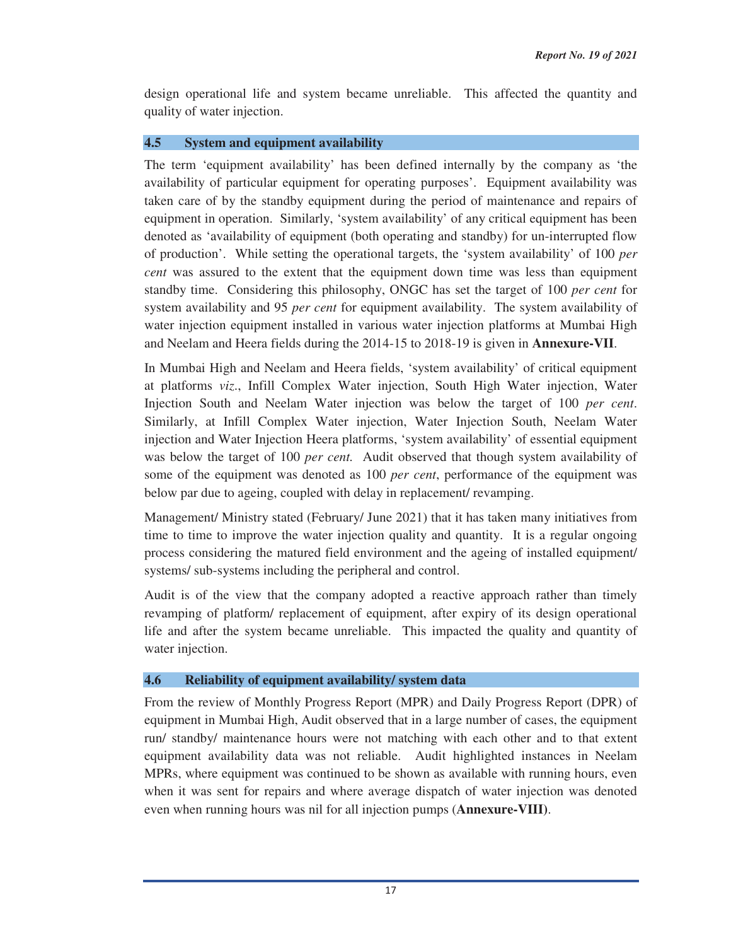design operational life and system became unreliable. This affected the quantity and quality of water injection.

#### **4.5 System and equipment availability**

The term 'equipment availability' has been defined internally by the company as 'the availability of particular equipment for operating purposes'. Equipment availability was taken care of by the standby equipment during the period of maintenance and repairs of equipment in operation. Similarly, 'system availability' of any critical equipment has been denoted as 'availability of equipment (both operating and standby) for un-interrupted flow of production'. While setting the operational targets, the 'system availability' of 100 *per cent* was assured to the extent that the equipment down time was less than equipment standby time. Considering this philosophy, ONGC has set the target of 100 *per cent* for system availability and 95 *per cent* for equipment availability. The system availability of water injection equipment installed in various water injection platforms at Mumbai High and Neelam and Heera fields during the 2014-15 to 2018-19 is given in **Annexure-VII**.

In Mumbai High and Neelam and Heera fields, 'system availability' of critical equipment at platforms *viz*., Infill Complex Water injection, South High Water injection, Water Injection South and Neelam Water injection was below the target of 100 *per cent*. Similarly, at Infill Complex Water injection, Water Injection South, Neelam Water injection and Water Injection Heera platforms, 'system availability' of essential equipment was below the target of 100 *per cent.* Audit observed that though system availability of some of the equipment was denoted as 100 *per cent*, performance of the equipment was below par due to ageing, coupled with delay in replacement/ revamping.

Management/ Ministry stated (February/ June 2021) that it has taken many initiatives from time to time to improve the water injection quality and quantity. It is a regular ongoing process considering the matured field environment and the ageing of installed equipment/ systems/ sub-systems including the peripheral and control.

Audit is of the view that the company adopted a reactive approach rather than timely revamping of platform/ replacement of equipment, after expiry of its design operational life and after the system became unreliable. This impacted the quality and quantity of water injection.

#### **4.6 Reliability of equipment availability/ system data**

From the review of Monthly Progress Report (MPR) and Daily Progress Report (DPR) of equipment in Mumbai High, Audit observed that in a large number of cases, the equipment run/ standby/ maintenance hours were not matching with each other and to that extent equipment availability data was not reliable. Audit highlighted instances in Neelam MPRs, where equipment was continued to be shown as available with running hours, even when it was sent for repairs and where average dispatch of water injection was denoted even when running hours was nil for all injection pumps (**Annexure-VIII)**.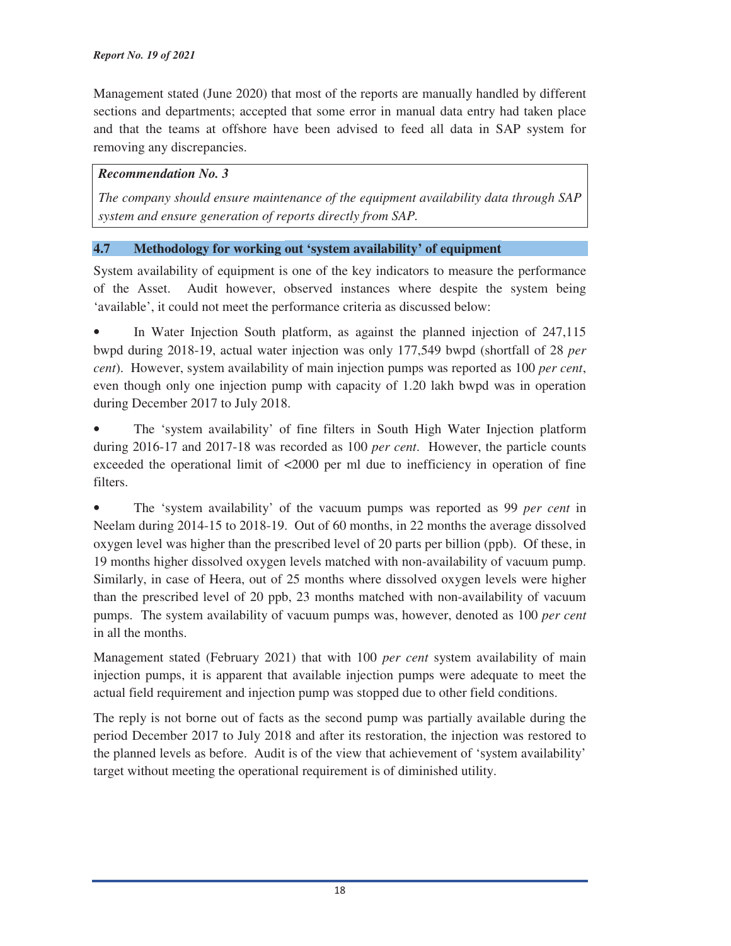Management stated (June 2020) that most of the reports are manually handled by different sections and departments; accepted that some error in manual data entry had taken place and that the teams at offshore have been advised to feed all data in SAP system for removing any discrepancies.

#### *Recommendation No. 3*

*The company should ensure maintenance of the equipment availability data through SAP system and ensure generation of reports directly from SAP.*

## **4.7 Methodology for working out 'system availability' of equipment**

System availability of equipment is one of the key indicators to measure the performance of the Asset. Audit however, observed instances where despite the system being 'available', it could not meet the performance criteria as discussed below:

In Water Injection South platform, as against the planned injection of 247,115 bwpd during 2018-19, actual water injection was only 177,549 bwpd (shortfall of 28 *per cent*). However, system availability of main injection pumps was reported as 100 *per cent*, even though only one injection pump with capacity of 1.20 lakh bwpd was in operation during December 2017 to July 2018.

• The 'system availability' of fine filters in South High Water Injection platform during 2016-17 and 2017-18 was recorded as 100 *per cent*. However, the particle counts exceeded the operational limit of <2000 per ml due to inefficiency in operation of fine filters.

• The 'system availability' of the vacuum pumps was reported as 99 *per cent* in Neelam during 2014-15 to 2018-19. Out of 60 months, in 22 months the average dissolved oxygen level was higher than the prescribed level of 20 parts per billion (ppb). Of these, in 19 months higher dissolved oxygen levels matched with non-availability of vacuum pump. Similarly, in case of Heera, out of 25 months where dissolved oxygen levels were higher than the prescribed level of 20 ppb, 23 months matched with non-availability of vacuum pumps. The system availability of vacuum pumps was, however, denoted as 100 *per cent* in all the months.

Management stated (February 2021) that with 100 *per cent* system availability of main injection pumps, it is apparent that available injection pumps were adequate to meet the actual field requirement and injection pump was stopped due to other field conditions.

The reply is not borne out of facts as the second pump was partially available during the period December 2017 to July 2018 and after its restoration, the injection was restored to the planned levels as before. Audit is of the view that achievement of 'system availability' target without meeting the operational requirement is of diminished utility.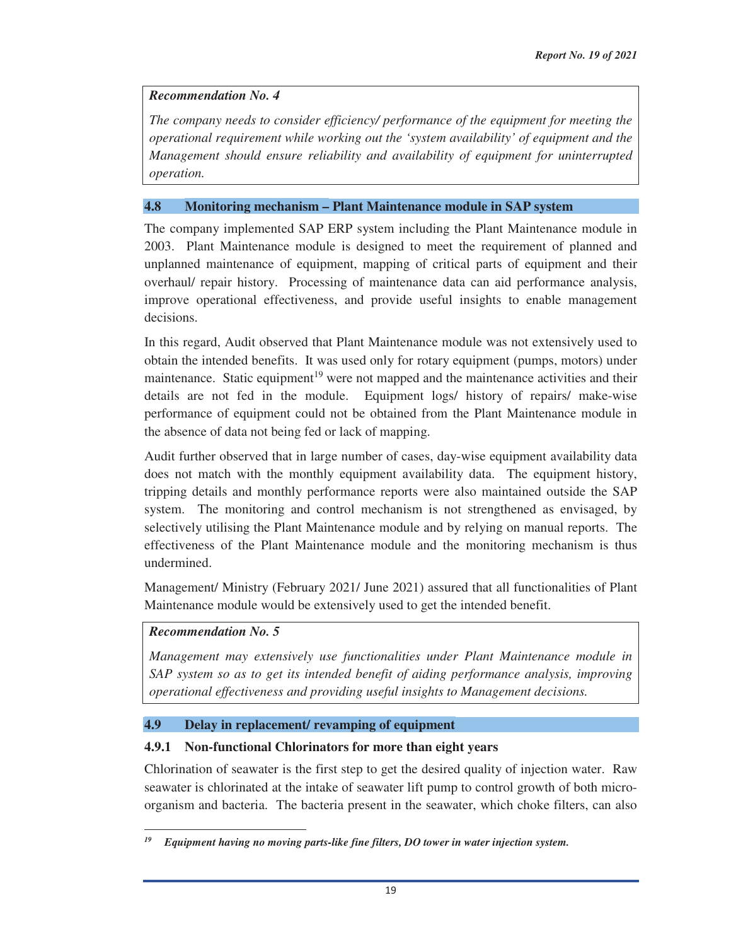#### *Recommendation No. 4*

*The company needs to consider efficiency/ performance of the equipment for meeting the operational requirement while working out the 'system availability' of equipment and the Management should ensure reliability and availability of equipment for uninterrupted operation.*

#### **4.8 Monitoring mechanism – Plant Maintenance module in SAP system**

The company implemented SAP ERP system including the Plant Maintenance module in 2003. Plant Maintenance module is designed to meet the requirement of planned and unplanned maintenance of equipment, mapping of critical parts of equipment and their overhaul/ repair history. Processing of maintenance data can aid performance analysis, improve operational effectiveness, and provide useful insights to enable management decisions.

In this regard, Audit observed that Plant Maintenance module was not extensively used to obtain the intended benefits. It was used only for rotary equipment (pumps, motors) under maintenance. Static equipment<sup>19</sup> were not mapped and the maintenance activities and their details are not fed in the module. Equipment logs/ history of repairs/ make-wise performance of equipment could not be obtained from the Plant Maintenance module in the absence of data not being fed or lack of mapping.

Audit further observed that in large number of cases, day-wise equipment availability data does not match with the monthly equipment availability data. The equipment history, tripping details and monthly performance reports were also maintained outside the SAP system. The monitoring and control mechanism is not strengthened as envisaged, by selectively utilising the Plant Maintenance module and by relying on manual reports. The effectiveness of the Plant Maintenance module and the monitoring mechanism is thus undermined.

Management/ Ministry (February 2021/ June 2021) assured that all functionalities of Plant Maintenance module would be extensively used to get the intended benefit.

### *Recommendation No. 5*

<u> 1989 - Johann Stein, mars ar breithinn ar chuid ann an t-</u>

*Management may extensively use functionalities under Plant Maintenance module in SAP system so as to get its intended benefit of aiding performance analysis, improving operational effectiveness and providing useful insights to Management decisions.*

#### **4.9 Delay in replacement/ revamping of equipment**

#### **4.9.1 Non-functional Chlorinators for more than eight years**

Chlorination of seawater is the first step to get the desired quality of injection water. Raw seawater is chlorinated at the intake of seawater lift pump to control growth of both microorganism and bacteria. The bacteria present in the seawater, which choke filters, can also

*<sup>19</sup> Equipment having no moving parts-like fine filters, DO tower in water injection system.*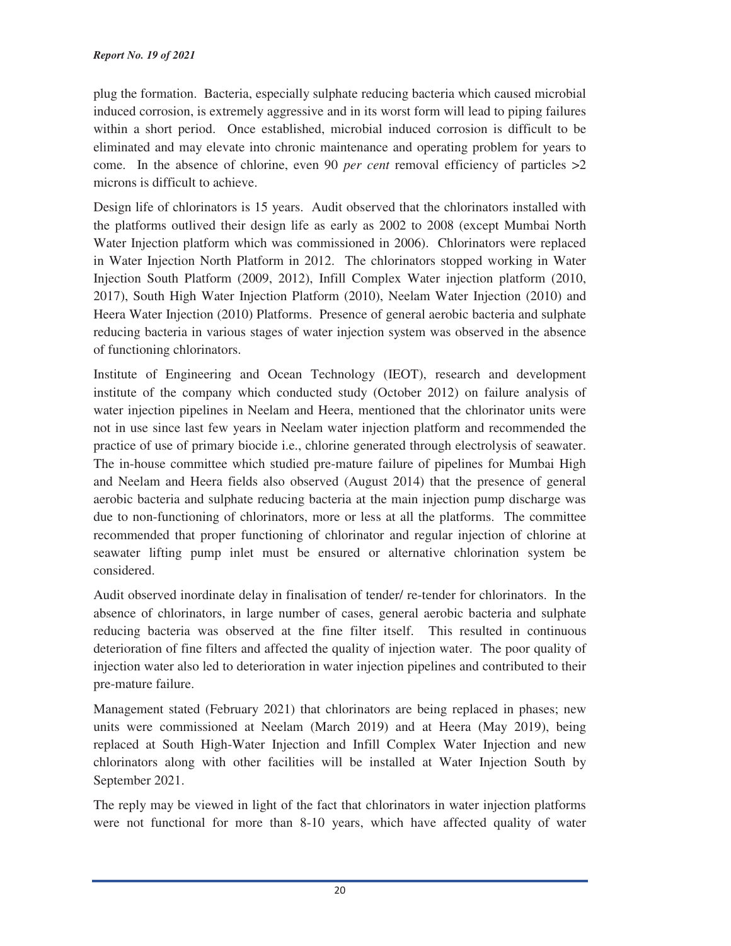plug the formation. Bacteria, especially sulphate reducing bacteria which caused microbial induced corrosion, is extremely aggressive and in its worst form will lead to piping failures within a short period. Once established, microbial induced corrosion is difficult to be eliminated and may elevate into chronic maintenance and operating problem for years to come. In the absence of chlorine, even 90 *per cent* removal efficiency of particles  $>2$ microns is difficult to achieve.

Design life of chlorinators is 15 years. Audit observed that the chlorinators installed with the platforms outlived their design life as early as 2002 to 2008 (except Mumbai North Water Injection platform which was commissioned in 2006). Chlorinators were replaced in Water Injection North Platform in 2012. The chlorinators stopped working in Water Injection South Platform (2009, 2012), Infill Complex Water injection platform (2010, 2017), South High Water Injection Platform (2010), Neelam Water Injection (2010) and Heera Water Injection (2010) Platforms. Presence of general aerobic bacteria and sulphate reducing bacteria in various stages of water injection system was observed in the absence of functioning chlorinators.

Institute of Engineering and Ocean Technology (IEOT), research and development institute of the company which conducted study (October 2012) on failure analysis of water injection pipelines in Neelam and Heera, mentioned that the chlorinator units were not in use since last few years in Neelam water injection platform and recommended the practice of use of primary biocide i.e., chlorine generated through electrolysis of seawater. The in-house committee which studied pre-mature failure of pipelines for Mumbai High and Neelam and Heera fields also observed (August 2014) that the presence of general aerobic bacteria and sulphate reducing bacteria at the main injection pump discharge was due to non-functioning of chlorinators, more or less at all the platforms. The committee recommended that proper functioning of chlorinator and regular injection of chlorine at seawater lifting pump inlet must be ensured or alternative chlorination system be considered.

Audit observed inordinate delay in finalisation of tender/ re-tender for chlorinators. In the absence of chlorinators, in large number of cases, general aerobic bacteria and sulphate reducing bacteria was observed at the fine filter itself. This resulted in continuous deterioration of fine filters and affected the quality of injection water. The poor quality of injection water also led to deterioration in water injection pipelines and contributed to their pre-mature failure.

Management stated (February 2021) that chlorinators are being replaced in phases; new units were commissioned at Neelam (March 2019) and at Heera (May 2019), being replaced at South High-Water Injection and Infill Complex Water Injection and new chlorinators along with other facilities will be installed at Water Injection South by September 2021.

The reply may be viewed in light of the fact that chlorinators in water injection platforms were not functional for more than 8-10 years, which have affected quality of water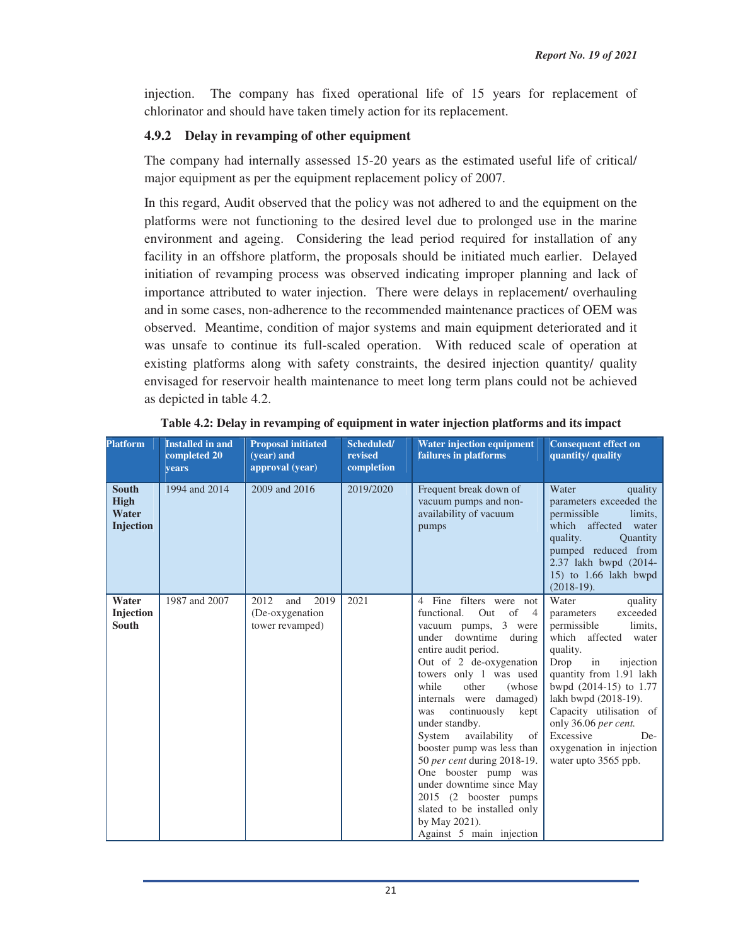injection. The company has fixed operational life of 15 years for replacement of chlorinator and should have taken timely action for its replacement.

# **4.9.2 Delay in revamping of other equipment**

The company had internally assessed 15-20 years as the estimated useful life of critical/ major equipment as per the equipment replacement policy of 2007.

In this regard, Audit observed that the policy was not adhered to and the equipment on the platforms were not functioning to the desired level due to prolonged use in the marine environment and ageing. Considering the lead period required for installation of any facility in an offshore platform, the proposals should be initiated much earlier. Delayed initiation of revamping process was observed indicating improper planning and lack of importance attributed to water injection. There were delays in replacement/ overhauling and in some cases, non-adherence to the recommended maintenance practices of OEM was observed. Meantime, condition of major systems and main equipment deteriorated and it was unsafe to continue its full-scaled operation. With reduced scale of operation at existing platforms along with safety constraints, the desired injection quantity/ quality envisaged for reservoir health maintenance to meet long term plans could not be achieved as depicted in table 4.2.

| <b>Platform</b>                                          | <b>Installed in and</b><br>completed 20<br>years | <b>Proposal initiated</b><br>(vear) and<br>approval (year) | Scheduled/<br>revised<br>completion | <b>Water injection equipment</b><br>failures in platforms                                                                                                                                                                                                                                                                                                                                                                                                                                                                                                              | <b>Consequent effect on</b><br>quantity/ quality                                                                                                                                                                                                                                                                                               |
|----------------------------------------------------------|--------------------------------------------------|------------------------------------------------------------|-------------------------------------|------------------------------------------------------------------------------------------------------------------------------------------------------------------------------------------------------------------------------------------------------------------------------------------------------------------------------------------------------------------------------------------------------------------------------------------------------------------------------------------------------------------------------------------------------------------------|------------------------------------------------------------------------------------------------------------------------------------------------------------------------------------------------------------------------------------------------------------------------------------------------------------------------------------------------|
| <b>South</b><br><b>High</b><br>Water<br><b>Injection</b> | 1994 and 2014                                    | 2009 and 2016                                              | 2019/2020                           | Frequent break down of<br>vacuum pumps and non-<br>availability of vacuum<br>pumps                                                                                                                                                                                                                                                                                                                                                                                                                                                                                     | Water<br>quality<br>parameters exceeded the<br>permissible<br>limits,<br>which affected<br>water<br>quality.<br><b>Quantity</b><br>pumped reduced from<br>2.37 lakh bwpd (2014-<br>15) to 1.66 lakh bwpd<br>$(2018-19).$                                                                                                                       |
| Water<br>Injection<br><b>South</b>                       | 1987 and 2007                                    | 2012<br>and<br>2019<br>(De-oxygenation)<br>tower revamped) | 2021                                | 4 Fine filters were not<br>functional.<br>of<br>Out<br>$\overline{4}$<br>vacuum pumps, 3 were<br>under downtime<br>during<br>entire audit period.<br>Out of 2 de-oxygenation<br>towers only 1 was used<br>while<br>other<br>(whose)<br>internals were damaged)<br>continuously<br>kept<br>was<br>under standby.<br>availability<br>System<br>of<br>booster pump was less than<br>50 per cent during 2018-19.<br>One booster pump was<br>under downtime since May<br>2015 (2 booster pumps)<br>slated to be installed only<br>by May 2021).<br>Against 5 main injection | Water<br>quality<br>exceeded<br>parameters<br>permissible<br>limits.<br>which affected<br>water<br>quality.<br>Drop<br>in<br>injection<br>quantity from 1.91 lakh<br>bwpd (2014-15) to 1.77<br>lakh bwpd (2018-19).<br>Capacity utilisation of<br>only 36.06 per cent.<br>Excessive<br>De-<br>oxygenation in injection<br>water upto 3565 ppb. |

|  |  |  | Table 4.2: Delay in revamping of equipment in water injection platforms and its impact |  |
|--|--|--|----------------------------------------------------------------------------------------|--|
|--|--|--|----------------------------------------------------------------------------------------|--|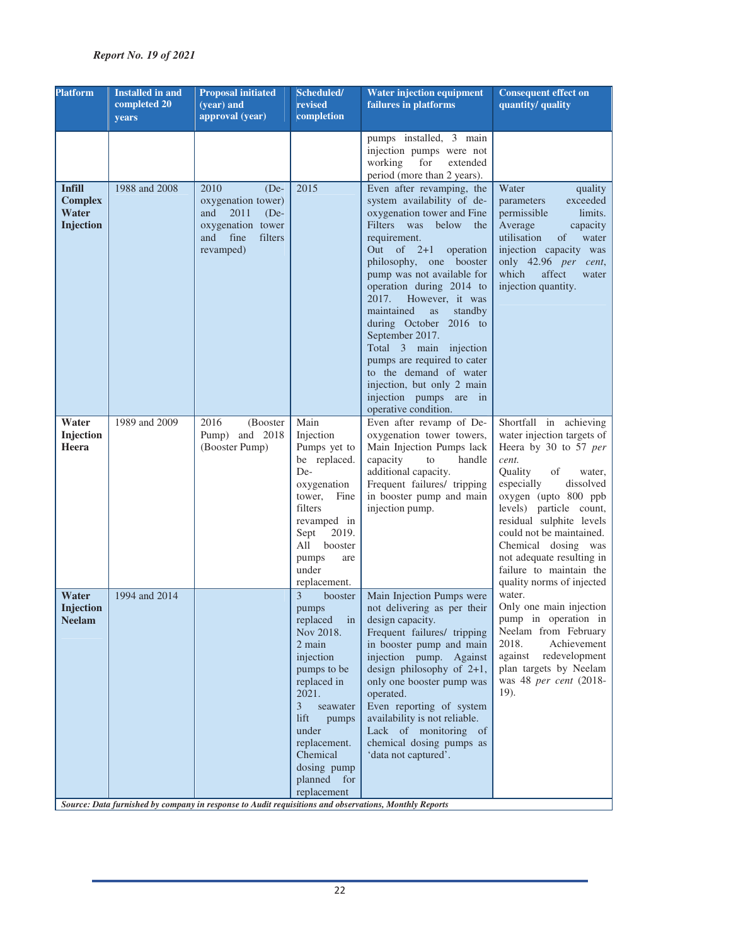| <b>Platform</b>                                       | <b>Installed in and</b><br>completed 20<br>years | <b>Proposal initiated</b><br>(year) and<br>approval (year)                                                             | Scheduled/<br>revised<br>completion                                                                                                                                                                                                    | <b>Water injection equipment</b><br>failures in platforms                                                                                                                                                                                                                                                                                                                                                                                                                                                                             | <b>Consequent effect on</b><br>quantity/ quality                                                                                                                                                                                                                                                                                                                    |
|-------------------------------------------------------|--------------------------------------------------|------------------------------------------------------------------------------------------------------------------------|----------------------------------------------------------------------------------------------------------------------------------------------------------------------------------------------------------------------------------------|---------------------------------------------------------------------------------------------------------------------------------------------------------------------------------------------------------------------------------------------------------------------------------------------------------------------------------------------------------------------------------------------------------------------------------------------------------------------------------------------------------------------------------------|---------------------------------------------------------------------------------------------------------------------------------------------------------------------------------------------------------------------------------------------------------------------------------------------------------------------------------------------------------------------|
|                                                       |                                                  |                                                                                                                        |                                                                                                                                                                                                                                        | pumps installed, 3 main<br>injection pumps were not<br>working<br>for<br>extended<br>period (more than 2 years).                                                                                                                                                                                                                                                                                                                                                                                                                      |                                                                                                                                                                                                                                                                                                                                                                     |
| <b>Infill</b><br><b>Complex</b><br>Water<br>Injection | 1988 and 2008                                    | 2010<br>$(De-$<br>oxygenation tower)<br>2011<br>$(De-$<br>and<br>oxygenation tower<br>and fine<br>filters<br>revamped) | 2015                                                                                                                                                                                                                                   | Even after revamping, the<br>system availability of de-<br>oxygenation tower and Fine<br>Filters was below<br>the<br>requirement.<br>Out of $2+1$<br>operation<br>philosophy, one booster<br>pump was not available for<br>operation during 2014 to<br>2017.<br>However, it was<br>maintained<br>standby<br><b>as</b><br>during October 2016 to<br>September 2017.<br>Total 3 main injection<br>pumps are required to cater<br>to the demand of water<br>injection, but only 2 main<br>injection pumps are in<br>operative condition. | Water<br>quality<br>exceeded<br>parameters<br>permissible<br>limits.<br>Average<br>capacity<br>utilisation<br>of<br>water<br>injection capacity was<br>only 42.96 per cent,<br>which<br>affect<br>water<br>injection quantity.                                                                                                                                      |
| Water<br>Injection<br>Heera                           | 1989 and 2009                                    | 2016<br>(Booster<br>Pump) and 2018<br>(Booster Pump)                                                                   | Main<br>Injection<br>Pumps yet to<br>be replaced.<br>De-<br>oxygenation<br>tower,<br>Fine<br>filters<br>revamped in<br>Sept<br>2019.<br>All<br>booster<br>pumps<br>are<br>under<br>replacement.                                        | Even after revamp of De-<br>oxygenation tower towers,<br>Main Injection Pumps lack<br>capacity<br>to<br>handle<br>additional capacity.<br>Frequent failures/ tripping<br>in booster pump and main<br>injection pump.                                                                                                                                                                                                                                                                                                                  | Shortfall in achieving<br>water injection targets of<br>Heera by 30 to 57 per<br>cent.<br>Quality<br>of<br>water,<br>especially<br>dissolved<br>oxygen (upto 800 ppb<br>levels) particle count,<br>residual sulphite levels<br>could not be maintained.<br>Chemical dosing was<br>not adequate resulting in<br>failure to maintain the<br>quality norms of injected |
| Water<br>Injection<br><b>Neelam</b>                   | 1994 and 2014                                    |                                                                                                                        | 3<br>booster<br>pumps<br>replaced<br>in<br>Nov 2018.<br>2 main<br>injection<br>pumps to be<br>replaced in<br>2021.<br>3<br>seawater<br>lift<br>pumps<br>under<br>replacement.<br>Chemical<br>dosing pump<br>planned for<br>replacement | Main Injection Pumps were<br>not delivering as per their<br>design capacity.<br>Frequent failures/ tripping<br>in booster pump and main<br>injection pump. Against<br>design philosophy of $2+1$ ,<br>only one booster pump was<br>operated.<br>Even reporting of system<br>availability is not reliable.<br>Lack of monitoring of<br>chemical dosing pumps as<br>'data not captured'.                                                                                                                                                | water.<br>Only one main injection<br>pump in operation in<br>Neelam from February<br>Achievement<br>2018.<br>against<br>redevelopment<br>plan targets by Neelam<br>was 48 per cent (2018-<br>19).                                                                                                                                                                   |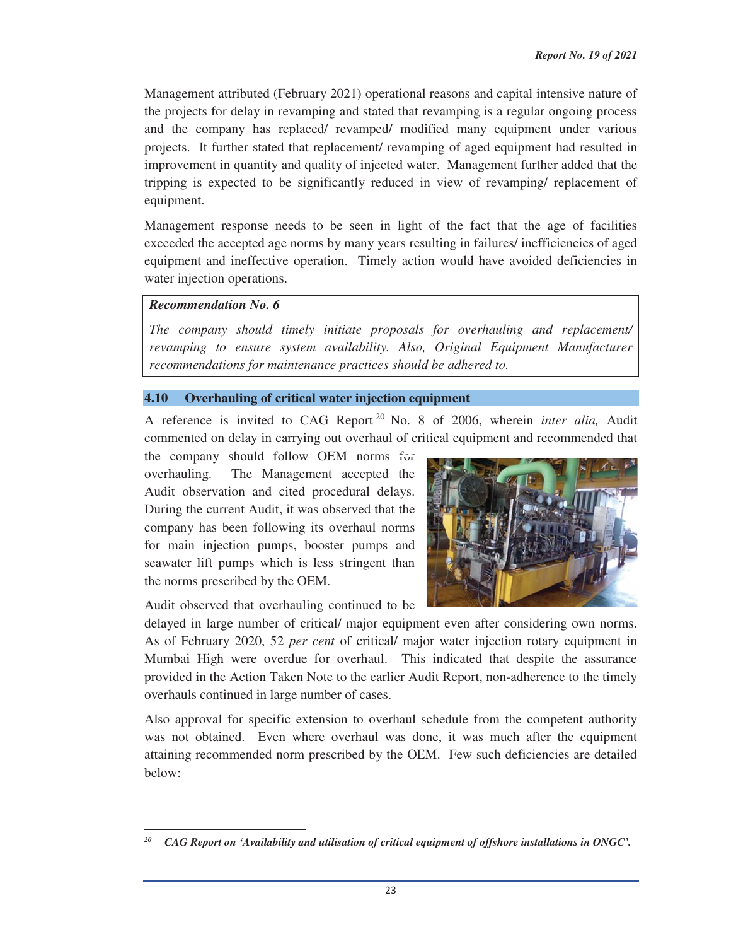Management attributed (February 2021) operational reasons and capital intensive nature of the projects for delay in revamping and stated that revamping is a regular ongoing process and the company has replaced/ revamped/ modified many equipment under various projects. It further stated that replacement/ revamping of aged equipment had resulted in improvement in quantity and quality of injected water. Management further added that the tripping is expected to be significantly reduced in view of revamping/ replacement of equipment.

Management response needs to be seen in light of the fact that the age of facilities exceeded the accepted age norms by many years resulting in failures/ inefficiencies of aged equipment and ineffective operation. Timely action would have avoided deficiencies in water injection operations.

### *Recommendation No. 6*

*The company should timely initiate proposals for overhauling and replacement/ revamping to ensure system availability. Also, Original Equipment Manufacturer recommendations for maintenance practices should be adhered to.*

#### **4.10 Overhauling of critical water injection equipment**

A reference is invited to CAG Report 20 No. 8 of 2006, wherein *inter alia,* Audit commented on delay in carrying out overhaul of critical equipment and recommended that

the company should follow OEM norms for overhauling. The Management accepted the Audit observation and cited procedural delays. During the current Audit, it was observed that the company has been following its overhaul norms for main injection pumps, booster pumps and seawater lift pumps which is less stringent than the norms prescribed by the OEM.

Audit observed that overhauling continued to be

delayed in large number of critical/ major equipment even after considering own norms. As of February 2020, 52 *per cent* of critical/ major water injection rotary equipment in Mumbai High were overdue for overhaul. This indicated that despite the assurance provided in the Action Taken Note to the earlier Audit Report, non-adherence to the timely overhauls continued in large number of cases.

Also approval for specific extension to overhaul schedule from the competent authority was not obtained. Even where overhaul was done, it was much after the equipment attaining recommended norm prescribed by the OEM. Few such deficiencies are detailed below:

<sup>&</sup>lt;u> 1989 - Johann Stein, mars ar breithinn ar chuid ann an t-</u> *20 CAG Report on 'Availability and utilisation of critical equipment of offshore installations in ONGC'.*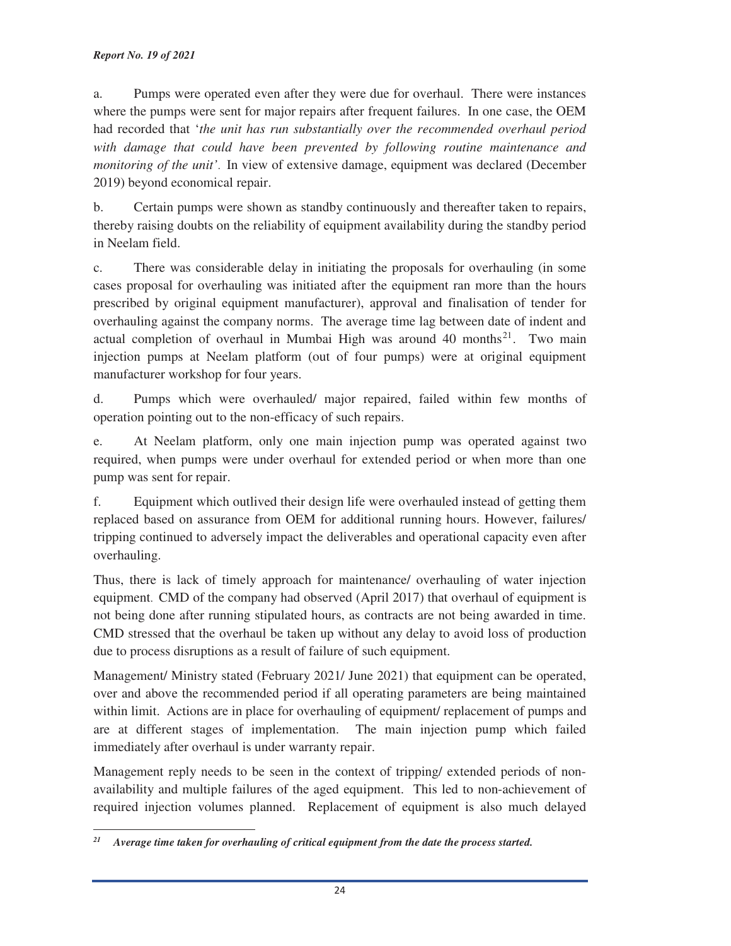#### *Report No. 19 of 2021*

a. Pumps were operated even after they were due for overhaul. There were instances where the pumps were sent for major repairs after frequent failures. In one case, the OEM had recorded that '*the unit has run substantially over the recommended overhaul period with damage that could have been prevented by following routine maintenance and monitoring of the unit'*. In view of extensive damage, equipment was declared (December 2019) beyond economical repair.

b. Certain pumps were shown as standby continuously and thereafter taken to repairs, thereby raising doubts on the reliability of equipment availability during the standby period in Neelam field.

c. There was considerable delay in initiating the proposals for overhauling (in some cases proposal for overhauling was initiated after the equipment ran more than the hours prescribed by original equipment manufacturer), approval and finalisation of tender for overhauling against the company norms. The average time lag between date of indent and actual completion of overhaul in Mumbai High was around 40 months<sup>21</sup>. Two main injection pumps at Neelam platform (out of four pumps) were at original equipment manufacturer workshop for four years.

d. Pumps which were overhauled/ major repaired, failed within few months of operation pointing out to the non-efficacy of such repairs.

e. At Neelam platform, only one main injection pump was operated against two required, when pumps were under overhaul for extended period or when more than one pump was sent for repair.

f. Equipment which outlived their design life were overhauled instead of getting them replaced based on assurance from OEM for additional running hours. However, failures/ tripping continued to adversely impact the deliverables and operational capacity even after overhauling.

Thus, there is lack of timely approach for maintenance/ overhauling of water injection equipment. CMD of the company had observed (April 2017) that overhaul of equipment is not being done after running stipulated hours, as contracts are not being awarded in time. CMD stressed that the overhaul be taken up without any delay to avoid loss of production due to process disruptions as a result of failure of such equipment.

Management/ Ministry stated (February 2021/ June 2021) that equipment can be operated, over and above the recommended period if all operating parameters are being maintained within limit. Actions are in place for overhauling of equipment/ replacement of pumps and are at different stages of implementation. The main injection pump which failed immediately after overhaul is under warranty repair.

Management reply needs to be seen in the context of tripping/ extended periods of nonavailability and multiple failures of the aged equipment. This led to non-achievement of required injection volumes planned. Replacement of equipment is also much delayed

<u> 1989 - Johann Stein, mars ar breithinn ar chuid ann an t-</u>

*<sup>21</sup> Average time taken for overhauling of critical equipment from the date the process started.*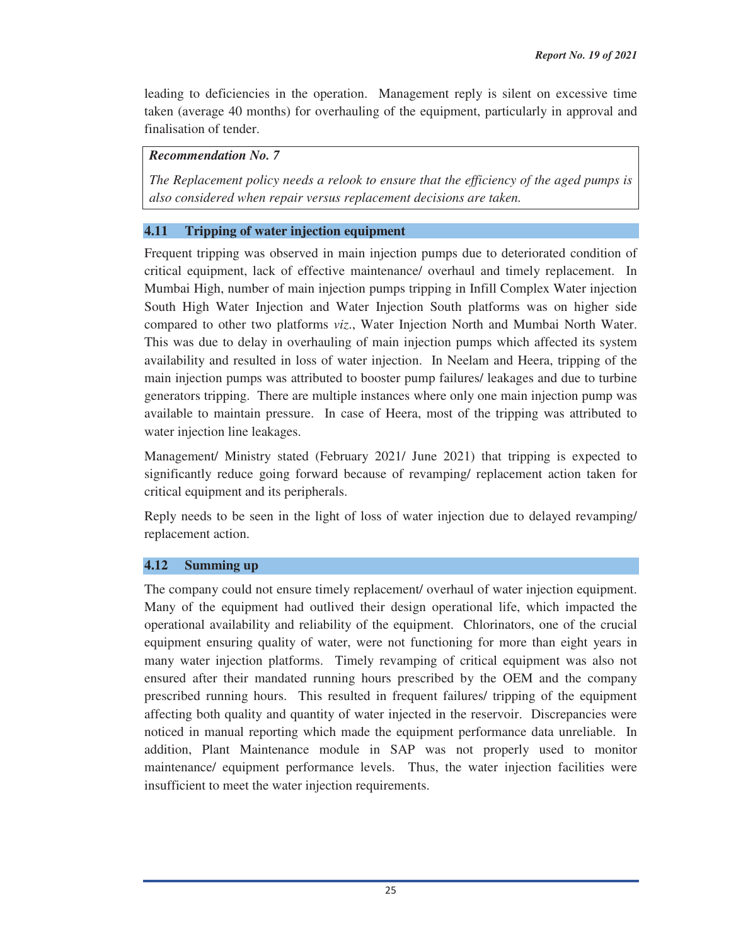leading to deficiencies in the operation. Management reply is silent on excessive time taken (average 40 months) for overhauling of the equipment, particularly in approval and finalisation of tender.

### *Recommendation No. 7*

*The Replacement policy needs a relook to ensure that the efficiency of the aged pumps is also considered when repair versus replacement decisions are taken.*

# **4.11 Tripping of water injection equipment**

Frequent tripping was observed in main injection pumps due to deteriorated condition of critical equipment, lack of effective maintenance/ overhaul and timely replacement. In Mumbai High, number of main injection pumps tripping in Infill Complex Water injection South High Water Injection and Water Injection South platforms was on higher side compared to other two platforms *viz*., Water Injection North and Mumbai North Water. This was due to delay in overhauling of main injection pumps which affected its system availability and resulted in loss of water injection. In Neelam and Heera, tripping of the main injection pumps was attributed to booster pump failures/ leakages and due to turbine generators tripping. There are multiple instances where only one main injection pump was available to maintain pressure. In case of Heera, most of the tripping was attributed to water injection line leakages.

Management/ Ministry stated (February 2021/ June 2021) that tripping is expected to significantly reduce going forward because of revamping/ replacement action taken for critical equipment and its peripherals.

Reply needs to be seen in the light of loss of water injection due to delayed revamping/ replacement action.

# **4.12 Summing up**

The company could not ensure timely replacement/ overhaul of water injection equipment. Many of the equipment had outlived their design operational life, which impacted the operational availability and reliability of the equipment. Chlorinators, one of the crucial equipment ensuring quality of water, were not functioning for more than eight years in many water injection platforms. Timely revamping of critical equipment was also not ensured after their mandated running hours prescribed by the OEM and the company prescribed running hours. This resulted in frequent failures/ tripping of the equipment affecting both quality and quantity of water injected in the reservoir. Discrepancies were noticed in manual reporting which made the equipment performance data unreliable. In addition, Plant Maintenance module in SAP was not properly used to monitor maintenance/ equipment performance levels. Thus, the water injection facilities were insufficient to meet the water injection requirements.